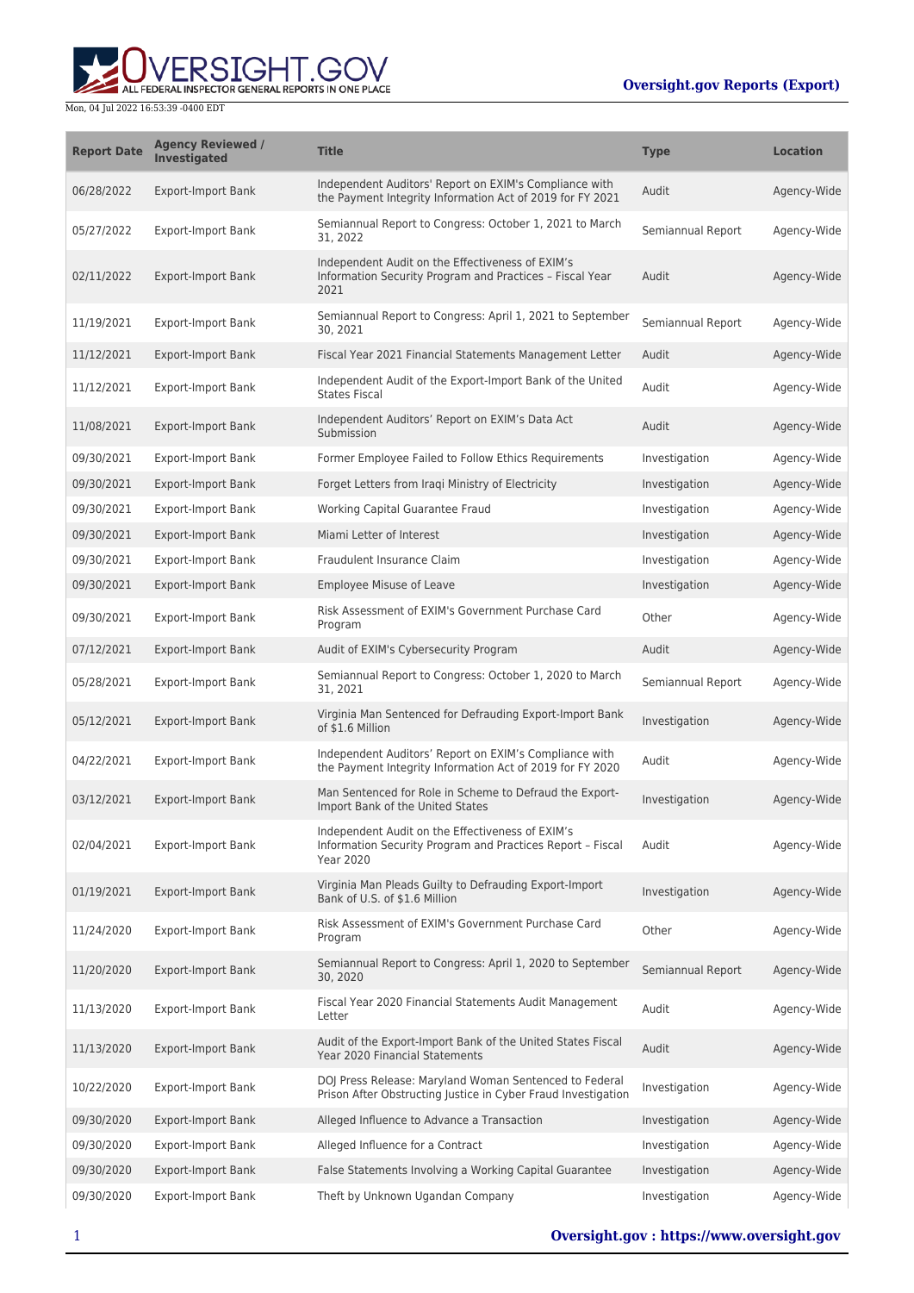ALL FEDERAL INSPECTOR GENERAL REPORTS IN ONE PLACE

Mon, 04 Jul 2022 16:53:39 -0400 EDT

| <b>Report Date</b> | <b>Agency Reviewed /</b><br>Investigated | <b>Title</b>                                                                                                                       | <b>Type</b>       | <b>Location</b> |
|--------------------|------------------------------------------|------------------------------------------------------------------------------------------------------------------------------------|-------------------|-----------------|
| 06/28/2022         | <b>Export-Import Bank</b>                | Independent Auditors' Report on EXIM's Compliance with<br>the Payment Integrity Information Act of 2019 for FY 2021                | Audit             | Agency-Wide     |
| 05/27/2022         | <b>Export-Import Bank</b>                | Semiannual Report to Congress: October 1, 2021 to March<br>31, 2022                                                                | Semiannual Report | Agency-Wide     |
| 02/11/2022         | <b>Export-Import Bank</b>                | Independent Audit on the Effectiveness of EXIM's<br>Information Security Program and Practices - Fiscal Year<br>2021               | Audit             | Agency-Wide     |
| 11/19/2021         | <b>Export-Import Bank</b>                | Semiannual Report to Congress: April 1, 2021 to September<br>30, 2021                                                              | Semiannual Report | Agency-Wide     |
| 11/12/2021         | <b>Export-Import Bank</b>                | Fiscal Year 2021 Financial Statements Management Letter                                                                            | Audit             | Agency-Wide     |
| 11/12/2021         | <b>Export-Import Bank</b>                | Independent Audit of the Export-Import Bank of the United<br><b>States Fiscal</b>                                                  | Audit             | Agency-Wide     |
| 11/08/2021         | <b>Export-Import Bank</b>                | Independent Auditors' Report on EXIM's Data Act<br>Submission                                                                      | Audit             | Agency-Wide     |
| 09/30/2021         | <b>Export-Import Bank</b>                | Former Employee Failed to Follow Ethics Requirements                                                                               | Investigation     | Agency-Wide     |
| 09/30/2021         | <b>Export-Import Bank</b>                | Forget Letters from Iraqi Ministry of Electricity                                                                                  | Investigation     | Agency-Wide     |
| 09/30/2021         | <b>Export-Import Bank</b>                | Working Capital Guarantee Fraud                                                                                                    | Investigation     | Agency-Wide     |
| 09/30/2021         | <b>Export-Import Bank</b>                | Miami Letter of Interest                                                                                                           | Investigation     | Agency-Wide     |
| 09/30/2021         | <b>Export-Import Bank</b>                | Fraudulent Insurance Claim                                                                                                         | Investigation     | Agency-Wide     |
| 09/30/2021         | <b>Export-Import Bank</b>                | <b>Employee Misuse of Leave</b>                                                                                                    | Investigation     | Agency-Wide     |
| 09/30/2021         | <b>Export-Import Bank</b>                | Risk Assessment of EXIM's Government Purchase Card<br>Program                                                                      | Other             | Agency-Wide     |
| 07/12/2021         | <b>Export-Import Bank</b>                | Audit of EXIM's Cybersecurity Program                                                                                              | Audit             | Agency-Wide     |
| 05/28/2021         | <b>Export-Import Bank</b>                | Semiannual Report to Congress: October 1, 2020 to March<br>31, 2021                                                                | Semiannual Report | Agency-Wide     |
| 05/12/2021         | <b>Export-Import Bank</b>                | Virginia Man Sentenced for Defrauding Export-Import Bank<br>of \$1.6 Million                                                       | Investigation     | Agency-Wide     |
| 04/22/2021         | <b>Export-Import Bank</b>                | Independent Auditors' Report on EXIM's Compliance with<br>the Payment Integrity Information Act of 2019 for FY 2020                | Audit             | Agency-Wide     |
| 03/12/2021         | <b>Export-Import Bank</b>                | Man Sentenced for Role in Scheme to Defraud the Export-<br>Import Bank of the United States                                        | Investigation     | Agency-Wide     |
| 02/04/2021         | <b>Export-Import Bank</b>                | Independent Audit on the Effectiveness of EXIM's<br>Information Security Program and Practices Report - Fiscal<br><b>Year 2020</b> | Audit             | Agency-Wide     |
| 01/19/2021         | <b>Export-Import Bank</b>                | Virginia Man Pleads Guilty to Defrauding Export-Import<br>Bank of U.S. of \$1.6 Million                                            | Investigation     | Agency-Wide     |
| 11/24/2020         | <b>Export-Import Bank</b>                | Risk Assessment of EXIM's Government Purchase Card<br>Program                                                                      | Other             | Agency-Wide     |
| 11/20/2020         | <b>Export-Import Bank</b>                | Semiannual Report to Congress: April 1, 2020 to September<br>30, 2020                                                              | Semiannual Report | Agency-Wide     |
| 11/13/2020         | <b>Export-Import Bank</b>                | Fiscal Year 2020 Financial Statements Audit Management<br>Letter                                                                   | Audit             | Agency-Wide     |
| 11/13/2020         | <b>Export-Import Bank</b>                | Audit of the Export-Import Bank of the United States Fiscal<br>Year 2020 Financial Statements                                      | Audit             | Agency-Wide     |
| 10/22/2020         | <b>Export-Import Bank</b>                | DOJ Press Release: Maryland Woman Sentenced to Federal<br>Prison After Obstructing Justice in Cyber Fraud Investigation            | Investigation     | Agency-Wide     |
| 09/30/2020         | <b>Export-Import Bank</b>                | Alleged Influence to Advance a Transaction                                                                                         | Investigation     | Agency-Wide     |
| 09/30/2020         | <b>Export-Import Bank</b>                | Alleged Influence for a Contract                                                                                                   | Investigation     | Agency-Wide     |
| 09/30/2020         | <b>Export-Import Bank</b>                | False Statements Involving a Working Capital Guarantee                                                                             | Investigation     | Agency-Wide     |
| 09/30/2020         | <b>Export-Import Bank</b>                | Theft by Unknown Ugandan Company                                                                                                   | Investigation     | Agency-Wide     |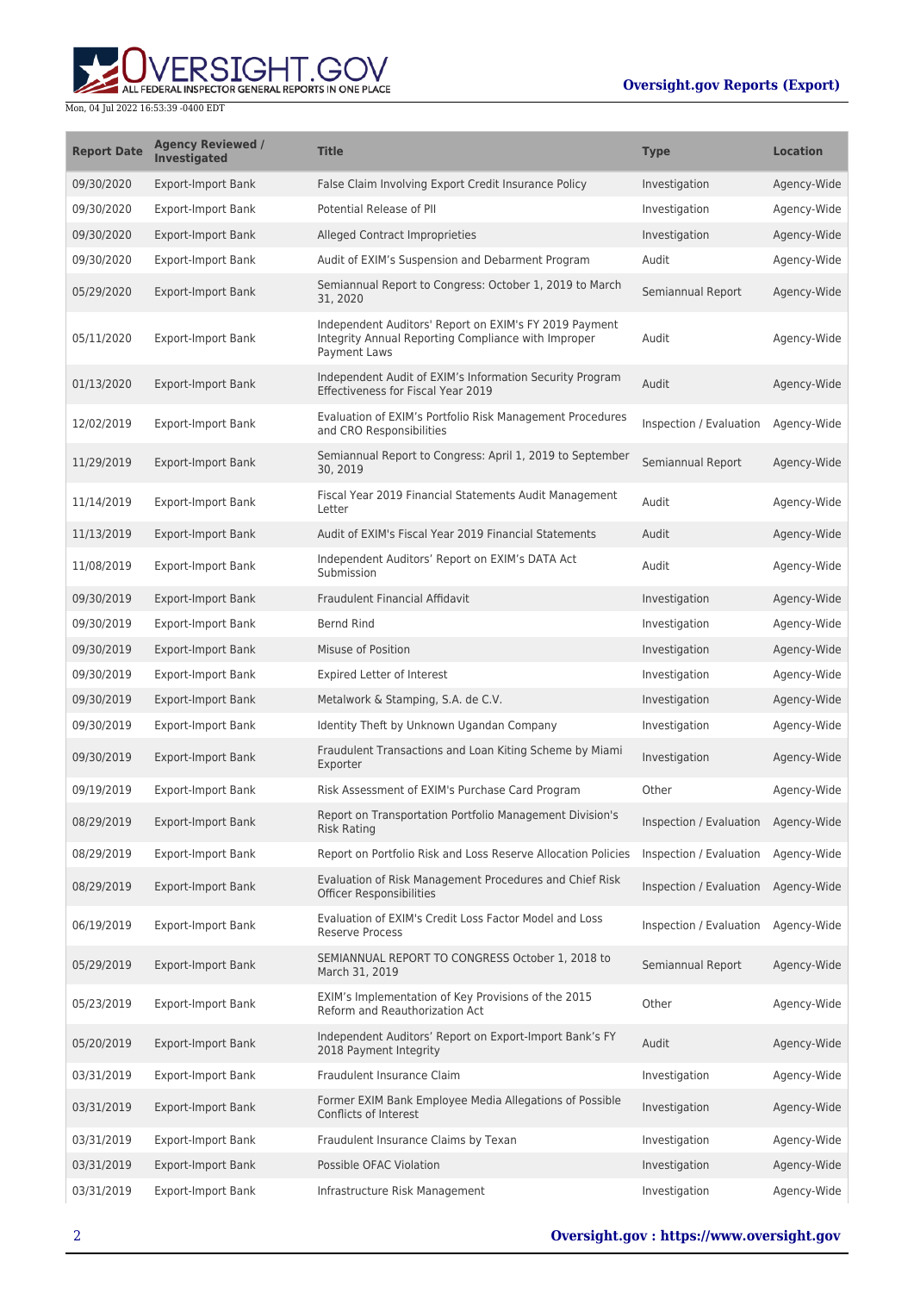

#### Mon, 04 Jul 2022 16:53:39 -0400 EDT

| <b>Report Date</b> | <b>Agency Reviewed /</b><br><b>Investigated</b> | <b>Title</b>                                                                                                                         | <b>Type</b>             | <b>Location</b> |
|--------------------|-------------------------------------------------|--------------------------------------------------------------------------------------------------------------------------------------|-------------------------|-----------------|
| 09/30/2020         | <b>Export-Import Bank</b>                       | False Claim Involving Export Credit Insurance Policy                                                                                 | Investigation           | Agency-Wide     |
| 09/30/2020         | <b>Export-Import Bank</b>                       | Potential Release of PII                                                                                                             | Investigation           | Agency-Wide     |
| 09/30/2020         | <b>Export-Import Bank</b>                       | Alleged Contract Improprieties                                                                                                       | Investigation           | Agency-Wide     |
| 09/30/2020         | <b>Export-Import Bank</b>                       | Audit of EXIM's Suspension and Debarment Program                                                                                     | Audit                   | Agency-Wide     |
| 05/29/2020         | <b>Export-Import Bank</b>                       | Semiannual Report to Congress: October 1, 2019 to March<br>31, 2020                                                                  | Semiannual Report       | Agency-Wide     |
| 05/11/2020         | <b>Export-Import Bank</b>                       | Independent Auditors' Report on EXIM's FY 2019 Payment<br>Integrity Annual Reporting Compliance with Improper<br><b>Payment Laws</b> | Audit                   | Agency-Wide     |
| 01/13/2020         | <b>Export-Import Bank</b>                       | Independent Audit of EXIM's Information Security Program<br>Effectiveness for Fiscal Year 2019                                       | Audit                   | Agency-Wide     |
| 12/02/2019         | <b>Export-Import Bank</b>                       | Evaluation of EXIM's Portfolio Risk Management Procedures<br>and CRO Responsibilities                                                | Inspection / Evaluation | Agency-Wide     |
| 11/29/2019         | <b>Export-Import Bank</b>                       | Semiannual Report to Congress: April 1, 2019 to September<br>30, 2019                                                                | Semiannual Report       | Agency-Wide     |
| 11/14/2019         | <b>Export-Import Bank</b>                       | Fiscal Year 2019 Financial Statements Audit Management<br>Letter                                                                     | Audit                   | Agency-Wide     |
| 11/13/2019         | <b>Export-Import Bank</b>                       | Audit of EXIM's Fiscal Year 2019 Financial Statements                                                                                | Audit                   | Agency-Wide     |
| 11/08/2019         | <b>Export-Import Bank</b>                       | Independent Auditors' Report on EXIM's DATA Act<br>Submission                                                                        | Audit                   | Agency-Wide     |
| 09/30/2019         | <b>Export-Import Bank</b>                       | Fraudulent Financial Affidavit                                                                                                       | Investigation           | Agency-Wide     |
| 09/30/2019         | <b>Export-Import Bank</b>                       | <b>Bernd Rind</b>                                                                                                                    | Investigation           | Agency-Wide     |
| 09/30/2019         | <b>Export-Import Bank</b>                       | Misuse of Position                                                                                                                   | Investigation           | Agency-Wide     |
| 09/30/2019         | <b>Export-Import Bank</b>                       | Expired Letter of Interest                                                                                                           | Investigation           | Agency-Wide     |
| 09/30/2019         | <b>Export-Import Bank</b>                       | Metalwork & Stamping, S.A. de C.V.                                                                                                   | Investigation           | Agency-Wide     |
| 09/30/2019         | <b>Export-Import Bank</b>                       | Identity Theft by Unknown Ugandan Company                                                                                            | Investigation           | Agency-Wide     |
| 09/30/2019         | <b>Export-Import Bank</b>                       | Fraudulent Transactions and Loan Kiting Scheme by Miami<br>Exporter                                                                  | Investigation           | Agency-Wide     |
| 09/19/2019         | <b>Export-Import Bank</b>                       | Risk Assessment of EXIM's Purchase Card Program                                                                                      | Other                   | Agency-Wide     |
| 08/29/2019         | <b>Export-Import Bank</b>                       | Report on Transportation Portfolio Management Division's<br><b>Risk Rating</b>                                                       | Inspection / Evaluation | Agency-Wide     |
| 08/29/2019         | <b>Export-Import Bank</b>                       | Report on Portfolio Risk and Loss Reserve Allocation Policies                                                                        | Inspection / Evaluation | Agency-Wide     |
| 08/29/2019         | <b>Export-Import Bank</b>                       | Evaluation of Risk Management Procedures and Chief Risk<br><b>Officer Responsibilities</b>                                           | Inspection / Evaluation | Agency-Wide     |
| 06/19/2019         | <b>Export-Import Bank</b>                       | Evaluation of EXIM's Credit Loss Factor Model and Loss<br><b>Reserve Process</b>                                                     | Inspection / Evaluation | Agency-Wide     |
| 05/29/2019         | <b>Export-Import Bank</b>                       | SEMIANNUAL REPORT TO CONGRESS October 1, 2018 to<br>March 31, 2019                                                                   | Semiannual Report       | Agency-Wide     |
| 05/23/2019         | <b>Export-Import Bank</b>                       | EXIM's Implementation of Key Provisions of the 2015<br>Reform and Reauthorization Act                                                | Other                   | Agency-Wide     |
| 05/20/2019         | <b>Export-Import Bank</b>                       | Independent Auditors' Report on Export-Import Bank's FY<br>2018 Payment Integrity                                                    | Audit                   | Agency-Wide     |
| 03/31/2019         | <b>Export-Import Bank</b>                       | Fraudulent Insurance Claim                                                                                                           | Investigation           | Agency-Wide     |
| 03/31/2019         | <b>Export-Import Bank</b>                       | Former EXIM Bank Employee Media Allegations of Possible<br>Conflicts of Interest                                                     | Investigation           | Agency-Wide     |
| 03/31/2019         | <b>Export-Import Bank</b>                       | Fraudulent Insurance Claims by Texan                                                                                                 | Investigation           | Agency-Wide     |
| 03/31/2019         | <b>Export-Import Bank</b>                       | Possible OFAC Violation                                                                                                              | Investigation           | Agency-Wide     |
| 03/31/2019         | <b>Export-Import Bank</b>                       | Infrastructure Risk Management                                                                                                       | Investigation           | Agency-Wide     |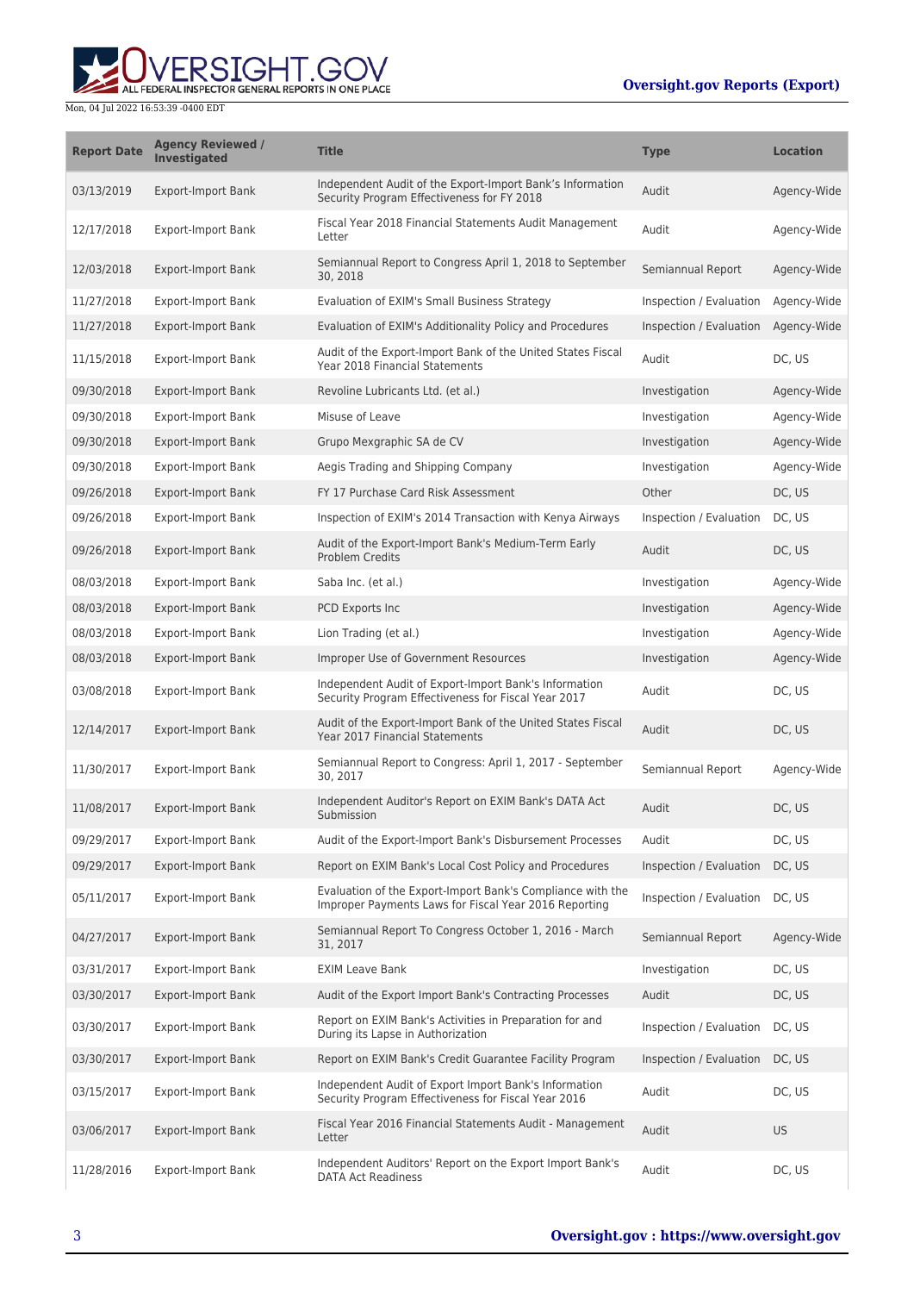ALL FEDERAL INSPECTOR GENERAL REPORTS IN ONE PLACE

Mon, 04 Jul 2022 16:53:39 -0400 EDT

| <b>Report Date</b> | <b>Agency Reviewed /</b><br><b>Investigated</b> | <b>Title</b>                                                                                                        | <b>Type</b>             | <b>Location</b> |
|--------------------|-------------------------------------------------|---------------------------------------------------------------------------------------------------------------------|-------------------------|-----------------|
| 03/13/2019         | <b>Export-Import Bank</b>                       | Independent Audit of the Export-Import Bank's Information<br>Security Program Effectiveness for FY 2018             | Audit                   | Agency-Wide     |
| 12/17/2018         | <b>Export-Import Bank</b>                       | Fiscal Year 2018 Financial Statements Audit Management<br>Letter                                                    | Audit                   | Agency-Wide     |
| 12/03/2018         | <b>Export-Import Bank</b>                       | Semiannual Report to Congress April 1, 2018 to September<br>30, 2018                                                | Semiannual Report       | Agency-Wide     |
| 11/27/2018         | <b>Export-Import Bank</b>                       | Evaluation of EXIM's Small Business Strategy                                                                        | Inspection / Evaluation | Agency-Wide     |
| 11/27/2018         | <b>Export-Import Bank</b>                       | Evaluation of EXIM's Additionality Policy and Procedures                                                            | Inspection / Evaluation | Agency-Wide     |
| 11/15/2018         | <b>Export-Import Bank</b>                       | Audit of the Export-Import Bank of the United States Fiscal<br>Year 2018 Financial Statements                       | Audit                   | DC, US          |
| 09/30/2018         | <b>Export-Import Bank</b>                       | Revoline Lubricants Ltd. (et al.)                                                                                   | Investigation           | Agency-Wide     |
| 09/30/2018         | <b>Export-Import Bank</b>                       | Misuse of Leave                                                                                                     | Investigation           | Agency-Wide     |
| 09/30/2018         | <b>Export-Import Bank</b>                       | Grupo Mexgraphic SA de CV                                                                                           | Investigation           | Agency-Wide     |
| 09/30/2018         | <b>Export-Import Bank</b>                       | Aegis Trading and Shipping Company                                                                                  | Investigation           | Agency-Wide     |
| 09/26/2018         | <b>Export-Import Bank</b>                       | FY 17 Purchase Card Risk Assessment                                                                                 | Other                   | DC, US          |
| 09/26/2018         | <b>Export-Import Bank</b>                       | Inspection of EXIM's 2014 Transaction with Kenya Airways                                                            | Inspection / Evaluation | DC, US          |
| 09/26/2018         | <b>Export-Import Bank</b>                       | Audit of the Export-Import Bank's Medium-Term Early<br>Problem Credits                                              | Audit                   | DC, US          |
| 08/03/2018         | <b>Export-Import Bank</b>                       | Saba Inc. (et al.)                                                                                                  | Investigation           | Agency-Wide     |
| 08/03/2018         | <b>Export-Import Bank</b>                       | PCD Exports Inc                                                                                                     | Investigation           | Agency-Wide     |
| 08/03/2018         | <b>Export-Import Bank</b>                       | Lion Trading (et al.)                                                                                               | Investigation           | Agency-Wide     |
| 08/03/2018         | <b>Export-Import Bank</b>                       | Improper Use of Government Resources                                                                                | Investigation           | Agency-Wide     |
| 03/08/2018         | <b>Export-Import Bank</b>                       | Independent Audit of Export-Import Bank's Information<br>Security Program Effectiveness for Fiscal Year 2017        | Audit                   | DC, US          |
| 12/14/2017         | <b>Export-Import Bank</b>                       | Audit of the Export-Import Bank of the United States Fiscal<br><b>Year 2017 Financial Statements</b>                | Audit                   | DC, US          |
| 11/30/2017         | <b>Export-Import Bank</b>                       | Semiannual Report to Congress: April 1, 2017 - September<br>30, 2017                                                | Semiannual Report       | Agency-Wide     |
| 11/08/2017         | <b>Export-Import Bank</b>                       | Independent Auditor's Report on EXIM Bank's DATA Act<br>Submission                                                  | Audit                   | DC, US          |
| 09/29/2017         | <b>Export-Import Bank</b>                       | Audit of the Export-Import Bank's Disbursement Processes                                                            | Audit                   | DC, US          |
| 09/29/2017         | <b>Export-Import Bank</b>                       | Report on EXIM Bank's Local Cost Policy and Procedures                                                              | Inspection / Evaluation | DC, US          |
| 05/11/2017         | <b>Export-Import Bank</b>                       | Evaluation of the Export-Import Bank's Compliance with the<br>Improper Payments Laws for Fiscal Year 2016 Reporting | Inspection / Evaluation | DC, US          |
| 04/27/2017         | <b>Export-Import Bank</b>                       | Semiannual Report To Congress October 1, 2016 - March<br>31, 2017                                                   | Semiannual Report       | Agency-Wide     |
| 03/31/2017         | <b>Export-Import Bank</b>                       | <b>EXIM Leave Bank</b>                                                                                              | Investigation           | DC, US          |
| 03/30/2017         | Export-Import Bank                              | Audit of the Export Import Bank's Contracting Processes                                                             | Audit                   | DC, US          |
| 03/30/2017         | <b>Export-Import Bank</b>                       | Report on EXIM Bank's Activities in Preparation for and<br>During its Lapse in Authorization                        | Inspection / Evaluation | DC, US          |
| 03/30/2017         | Export-Import Bank                              | Report on EXIM Bank's Credit Guarantee Facility Program                                                             | Inspection / Evaluation | DC, US          |
| 03/15/2017         | <b>Export-Import Bank</b>                       | Independent Audit of Export Import Bank's Information<br>Security Program Effectiveness for Fiscal Year 2016        | Audit                   | DC, US          |
| 03/06/2017         | Export-Import Bank                              | Fiscal Year 2016 Financial Statements Audit - Management<br>Letter                                                  | Audit                   | <b>US</b>       |
| 11/28/2016         | <b>Export-Import Bank</b>                       | Independent Auditors' Report on the Export Import Bank's<br><b>DATA Act Readiness</b>                               | Audit                   | DC, US          |